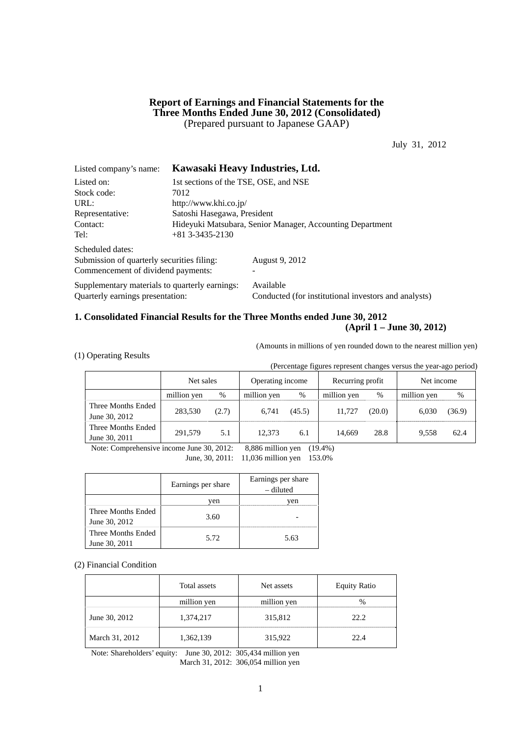## **Report of Earnings and Financial Statements for the Three Months Ended June 30, 2012 (Consolidated)**  (Prepared pursuant to Japanese GAAP)

July 31, 2012

| Listed company's name:                         |                                                           | Kawasaki Heavy Industries, Ltd.                      |  |  |  |  |
|------------------------------------------------|-----------------------------------------------------------|------------------------------------------------------|--|--|--|--|
| Listed on:                                     | 1st sections of the TSE, OSE, and NSE                     |                                                      |  |  |  |  |
| Stock code:                                    | 7012                                                      |                                                      |  |  |  |  |
| URL:                                           | http://www.khi.co.jp/                                     |                                                      |  |  |  |  |
| Representative:                                | Satoshi Hasegawa, President                               |                                                      |  |  |  |  |
| Contact:                                       | Hideyuki Matsubara, Senior Manager, Accounting Department |                                                      |  |  |  |  |
| Tel:                                           | $+81$ 3-3435-2130                                         |                                                      |  |  |  |  |
| Scheduled dates:                               |                                                           |                                                      |  |  |  |  |
| Submission of quarterly securities filing:     |                                                           | August 9, 2012                                       |  |  |  |  |
| Commencement of dividend payments:             |                                                           |                                                      |  |  |  |  |
| Supplementary materials to quarterly earnings: |                                                           | Available                                            |  |  |  |  |
| Quarterly earnings presentation:               |                                                           | Conducted (for institutional investors and analysts) |  |  |  |  |

## **1. Consolidated Financial Results for the Three Months ended June 30, 2012 (April 1 – June 30, 2012)**

(Amounts in millions of yen rounded down to the nearest million yen)

(1) Operating Results

(Percentage figures represent changes versus the year-ago period)

|                                     | Net sales   |       | Operating income |        | Recurring profit |        | Net income  |        |
|-------------------------------------|-------------|-------|------------------|--------|------------------|--------|-------------|--------|
|                                     | million yen | %     | million yen      | $\%$   | million yen      | %      | million yen | %      |
| Three Months Ended<br>June 30, 2012 | 283.530     | (2.7) | 6.741            | (45.5) | 11.727           | (20.0) | 6.030       | (36.9) |
| Three Months Ended<br>June 30, 2011 | 291,579     | 5.1   | 12.373           | 6.1    | 14.669           | 28.8   | 9.558       | 62.4   |

Note: Comprehensive income June 30, 2012: 8,886 million yen (19.4%)

June, 30, 2011: 11,036 million yen 153.0%

|                                     | Earnings per share | Earnings per share<br>– diluted |
|-------------------------------------|--------------------|---------------------------------|
|                                     | ven                | ven                             |
| Three Months Ended<br>June 30, 2012 | 3.60               |                                 |
| Three Months Ended<br>June 30, 2011 | 5.72               | 5.63                            |

(2) Financial Condition

|                | Total assets | Net assets  | <b>Equity Ratio</b> |
|----------------|--------------|-------------|---------------------|
|                | million yen  | million yen |                     |
| June 30, 2012  | 1,374,217    | 315,812     | 22.2.               |
| March 31, 2012 | 1,362,139    | 315,922     | 22.4                |

Note: Shareholders' equity: June 30, 2012: 305,434 million yen March 31, 2012: 306,054 million yen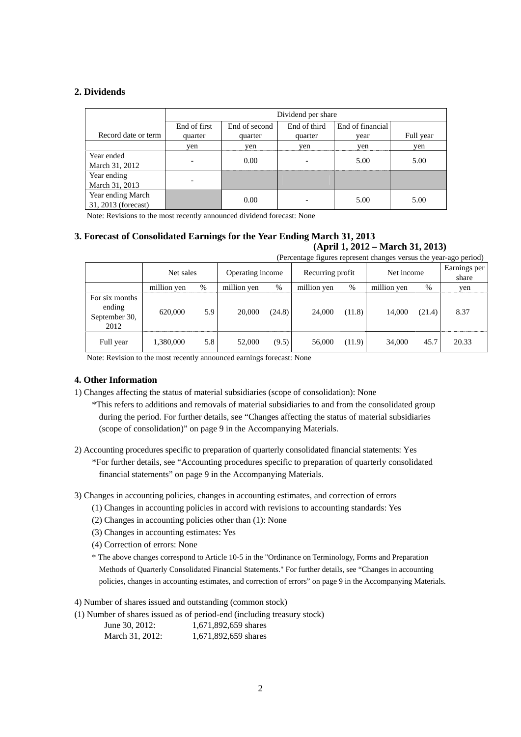## **2. Dividends**

|                                          | Dividend per share       |               |              |                  |           |  |  |
|------------------------------------------|--------------------------|---------------|--------------|------------------|-----------|--|--|
|                                          | End of first             | End of second | End of third | End of financial |           |  |  |
| Record date or term                      | quarter                  | quarter       | quarter      | vear             | Full year |  |  |
|                                          | yen                      | yen           | yen          | yen              | yen       |  |  |
| Year ended<br>March 31, 2012             | $\overline{\phantom{0}}$ | 0.00          |              | 5.00             | 5.00      |  |  |
| Year ending<br>March 31, 2013            | $\overline{\phantom{0}}$ |               |              |                  |           |  |  |
| Year ending March<br>31, 2013 (forecast) |                          | 0.00          |              | 5.00             | 5.00      |  |  |

Note: Revisions to the most recently announced dividend forecast: None

#### **3. Forecast of Consolidated Earnings for the Year Ending March 31, 2013 (April 1, 2012 – March 31, 2013)**

(Percentage figures represent changes versus the year-ago period)

|                                                   | $\alpha$ or original represent origins to the point and political |     |                  |        |                  |        |             |        |                       |
|---------------------------------------------------|-------------------------------------------------------------------|-----|------------------|--------|------------------|--------|-------------|--------|-----------------------|
|                                                   | Net sales                                                         |     | Operating income |        | Recurring profit |        | Net income  |        | Earnings per<br>share |
|                                                   | million yen                                                       | %   | million yen      | %      | million yen      | $\%$   | million yen | %      | yen                   |
| For six months<br>ending<br>September 30,<br>2012 | 620,000                                                           | 5.9 | 20,000           | (24.8) | 24,000           | (11.8) | 14.000      | (21.4) | 8.37                  |
| Full year                                         | 1,380,000                                                         | 5.8 | 52,000           | (9.5)  | 56,000           | (11.9) | 34,000      | 45.7   | 20.33                 |

Note: Revision to the most recently announced earnings forecast: None

## **4. Other Information**

1) Changes affecting the status of material subsidiaries (scope of consolidation): None

\*This refers to additions and removals of material subsidiaries to and from the consolidated group during the period. For further details, see "Changes affecting the status of material subsidiaries (scope of consolidation)" on page 9 in the Accompanying Materials.

2) Accounting procedures specific to preparation of quarterly consolidated financial statements: Yes \*For further details, see "Accounting procedures specific to preparation of quarterly consolidated financial statements" on page 9 in the Accompanying Materials.

3) Changes in accounting policies, changes in accounting estimates, and correction of errors

- (1) Changes in accounting policies in accord with revisions to accounting standards: Yes
- (2) Changes in accounting policies other than (1): None
- (3) Changes in accounting estimates: Yes
- (4) Correction of errors: None
- \* The above changes correspond to Article 10-5 in the "Ordinance on Terminology, Forms and Preparation Methods of Quarterly Consolidated Financial Statements." For further details, see "Changes in accounting policies, changes in accounting estimates, and correction of errors" on page 9 in the Accompanying Materials.

4) Number of shares issued and outstanding (common stock)

(1) Number of shares issued as of period-end (including treasury stock) June 30, 2012: 1,671,892,659 shares March 31, 2012: 1,671,892,659 shares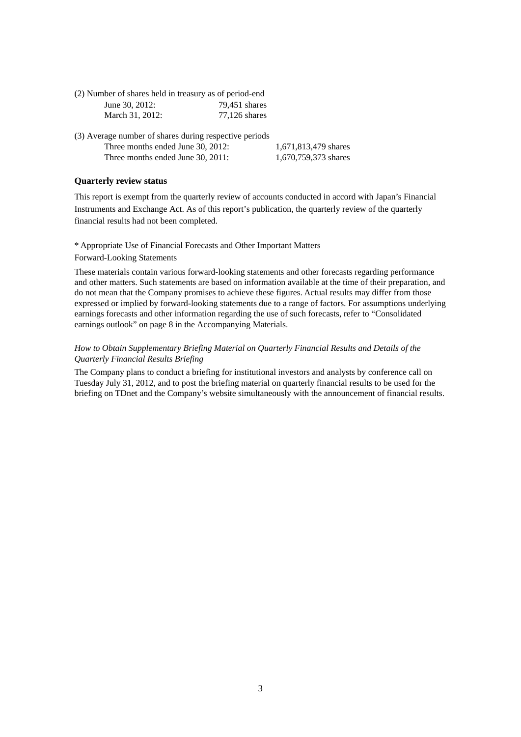| (2) Number of shares held in treasury as of period-end |               |
|--------------------------------------------------------|---------------|
| June 30, 2012:                                         | 79.451 shares |
| March 31, 2012:                                        | 77.126 shares |

| (3) Average number of shares during respective periods |                      |
|--------------------------------------------------------|----------------------|
| Three months ended June 30, 2012:                      | 1.671.813.479 shares |
| Three months ended June 30, 2011:                      | 1,670,759,373 shares |

## **Quarterly review status**

This report is exempt from the quarterly review of accounts conducted in accord with Japan's Financial Instruments and Exchange Act. As of this report's publication, the quarterly review of the quarterly financial results had not been completed.

### \* Appropriate Use of Financial Forecasts and Other Important Matters Forward-Looking Statements

These materials contain various forward-looking statements and other forecasts regarding performance and other matters. Such statements are based on information available at the time of their preparation, and do not mean that the Company promises to achieve these figures. Actual results may differ from those expressed or implied by forward-looking statements due to a range of factors. For assumptions underlying earnings forecasts and other information regarding the use of such forecasts, refer to "Consolidated earnings outlook" on page 8 in the Accompanying Materials.

### *How to Obtain Supplementary Briefing Material on Quarterly Financial Results and Details of the Quarterly Financial Results Briefing*

The Company plans to conduct a briefing for institutional investors and analysts by conference call on Tuesday July 31, 2012, and to post the briefing material on quarterly financial results to be used for the briefing on TDnet and the Company's website simultaneously with the announcement of financial results.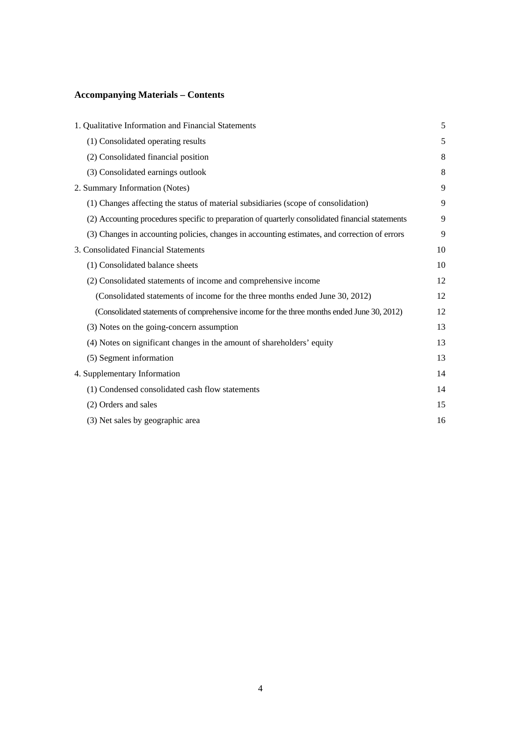# **Accompanying Materials – Contents**

| 1. Qualitative Information and Financial Statements                                              | 5  |
|--------------------------------------------------------------------------------------------------|----|
| (1) Consolidated operating results                                                               | 5  |
| (2) Consolidated financial position                                                              | 8  |
| (3) Consolidated earnings outlook                                                                | 8  |
| 2. Summary Information (Notes)                                                                   | 9  |
| (1) Changes affecting the status of material subsidiaries (scope of consolidation)               | 9  |
| (2) Accounting procedures specific to preparation of quarterly consolidated financial statements | 9  |
| (3) Changes in accounting policies, changes in accounting estimates, and correction of errors    | 9  |
| 3. Consolidated Financial Statements                                                             | 10 |
| (1) Consolidated balance sheets                                                                  | 10 |
| (2) Consolidated statements of income and comprehensive income                                   | 12 |
| (Consolidated statements of income for the three months ended June 30, 2012)                     | 12 |
| (Consolidated statements of comprehensive income for the three months ended June 30, 2012)       | 12 |
| (3) Notes on the going-concern assumption                                                        | 13 |
| (4) Notes on significant changes in the amount of shareholders' equity                           | 13 |
| (5) Segment information                                                                          | 13 |
| 4. Supplementary Information                                                                     | 14 |
| (1) Condensed consolidated cash flow statements                                                  | 14 |
| (2) Orders and sales                                                                             | 15 |
| (3) Net sales by geographic area                                                                 | 16 |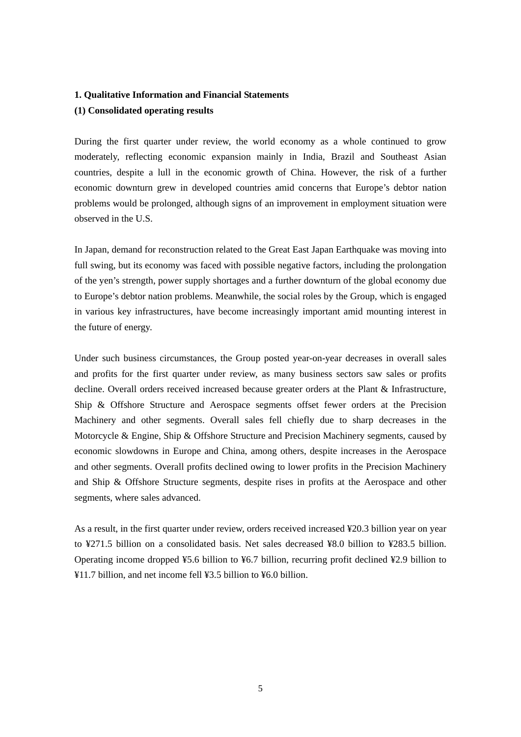# **1. Qualitative Information and Financial Statements (1) Consolidated operating results**

During the first quarter under review, the world economy as a whole continued to grow moderately, reflecting economic expansion mainly in India, Brazil and Southeast Asian countries, despite a lull in the economic growth of China. However, the risk of a further economic downturn grew in developed countries amid concerns that Europe's debtor nation problems would be prolonged, although signs of an improvement in employment situation were observed in the U.S.

In Japan, demand for reconstruction related to the Great East Japan Earthquake was moving into full swing, but its economy was faced with possible negative factors, including the prolongation of the yen's strength, power supply shortages and a further downturn of the global economy due to Europe's debtor nation problems. Meanwhile, the social roles by the Group, which is engaged in various key infrastructures, have become increasingly important amid mounting interest in the future of energy.

Under such business circumstances, the Group posted year-on-year decreases in overall sales and profits for the first quarter under review, as many business sectors saw sales or profits decline. Overall orders received increased because greater orders at the Plant & Infrastructure, Ship & Offshore Structure and Aerospace segments offset fewer orders at the Precision Machinery and other segments. Overall sales fell chiefly due to sharp decreases in the Motorcycle & Engine, Ship & Offshore Structure and Precision Machinery segments, caused by economic slowdowns in Europe and China, among others, despite increases in the Aerospace and other segments. Overall profits declined owing to lower profits in the Precision Machinery and Ship & Offshore Structure segments, despite rises in profits at the Aerospace and other segments, where sales advanced.

As a result, in the first quarter under review, orders received increased ¥20.3 billion year on year to ¥271.5 billion on a consolidated basis. Net sales decreased ¥8.0 billion to ¥283.5 billion. Operating income dropped ¥5.6 billion to ¥6.7 billion, recurring profit declined ¥2.9 billion to ¥11.7 billion, and net income fell ¥3.5 billion to ¥6.0 billion.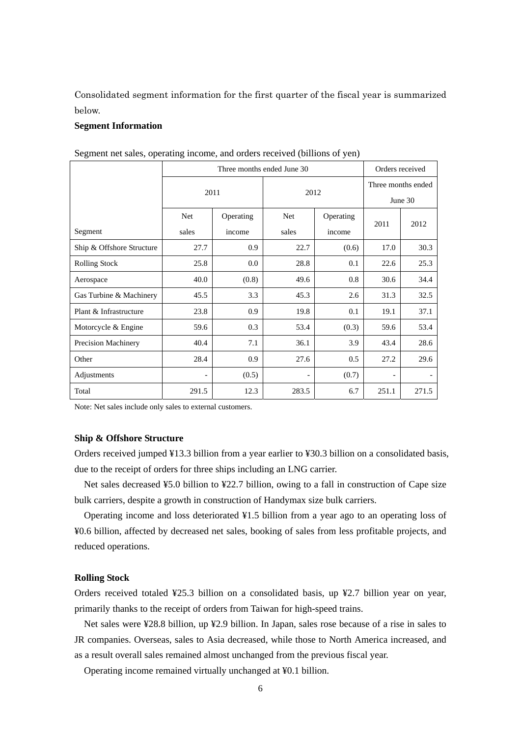Consolidated segment information for the first quarter of the fiscal year is summarized below.

#### **Segment Information**

| $\frac{1}{2}$             |       |                 |                          |        |                    |       |  |
|---------------------------|-------|-----------------|--------------------------|--------|--------------------|-------|--|
|                           |       | Orders received |                          |        |                    |       |  |
|                           |       |                 |                          |        | Three months ended |       |  |
|                           | 2011  |                 | 2012                     |        | June 30            |       |  |
|                           | Net   | Operating       | <b>Net</b><br>Operating  |        | 2011               | 2012  |  |
| Segment                   | sales | income          | sales                    | income |                    |       |  |
| Ship & Offshore Structure | 27.7  | 0.9             | 22.7                     | (0.6)  | 17.0               | 30.3  |  |
| <b>Rolling Stock</b>      | 25.8  | $0.0\,$         | 28.8                     | 0.1    | 22.6               | 25.3  |  |
| Aerospace                 | 40.0  | (0.8)           | 49.6                     | 0.8    | 30.6               | 34.4  |  |
| Gas Turbine & Machinery   | 45.5  | 3.3             | 45.3                     | 2.6    | 31.3               | 32.5  |  |
| Plant & Infrastructure    | 23.8  | 0.9             | 19.8                     | 0.1    | 19.1               | 37.1  |  |
| Motorcycle & Engine       | 59.6  | 0.3             | 53.4                     | (0.3)  | 59.6               | 53.4  |  |
| Precision Machinery       | 40.4  | 7.1             | 36.1                     | 3.9    | 43.4               | 28.6  |  |
| Other                     | 28.4  | 0.9             | 27.6                     | 0.5    | 27.2               | 29.6  |  |
| Adjustments               |       | (0.5)           | $\overline{\phantom{a}}$ | (0.7)  |                    |       |  |
| Total                     | 291.5 | 12.3            | 283.5                    | 6.7    | 251.1              | 271.5 |  |

Segment net sales, operating income, and orders received (billions of yen)

Note: Net sales include only sales to external customers.

## **Ship & Offshore Structure**

Orders received jumped ¥13.3 billion from a year earlier to ¥30.3 billion on a consolidated basis, due to the receipt of orders for three ships including an LNG carrier.

Net sales decreased ¥5.0 billion to ¥22.7 billion, owing to a fall in construction of Cape size bulk carriers, despite a growth in construction of Handymax size bulk carriers.

Operating income and loss deteriorated ¥1.5 billion from a year ago to an operating loss of ¥0.6 billion, affected by decreased net sales, booking of sales from less profitable projects, and reduced operations.

#### **Rolling Stock**

Orders received totaled ¥25.3 billion on a consolidated basis, up ¥2.7 billion year on year, primarily thanks to the receipt of orders from Taiwan for high-speed trains.

Net sales were ¥28.8 billion, up ¥2.9 billion. In Japan, sales rose because of a rise in sales to JR companies. Overseas, sales to Asia decreased, while those to North America increased, and as a result overall sales remained almost unchanged from the previous fiscal year.

Operating income remained virtually unchanged at ¥0.1 billion.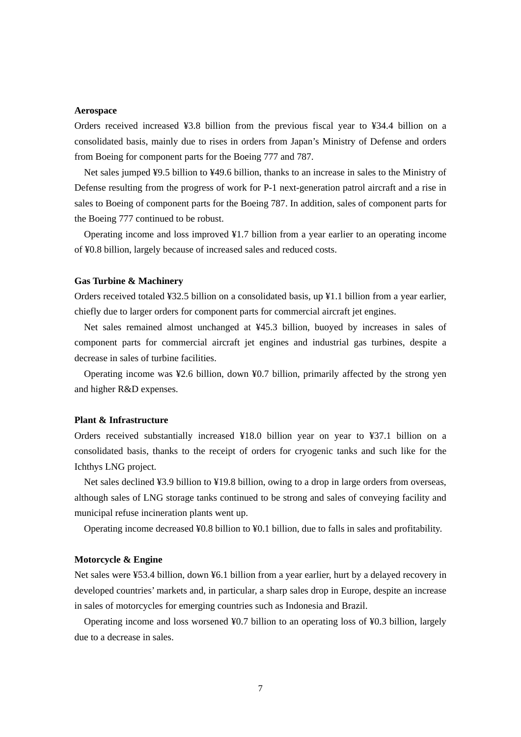#### **Aerospace**

Orders received increased ¥3.8 billion from the previous fiscal year to ¥34.4 billion on a consolidated basis, mainly due to rises in orders from Japan's Ministry of Defense and orders from Boeing for component parts for the Boeing 777 and 787.

Net sales jumped ¥9.5 billion to ¥49.6 billion, thanks to an increase in sales to the Ministry of Defense resulting from the progress of work for P-1 next-generation patrol aircraft and a rise in sales to Boeing of component parts for the Boeing 787. In addition, sales of component parts for the Boeing 777 continued to be robust.

Operating income and loss improved ¥1.7 billion from a year earlier to an operating income of ¥0.8 billion, largely because of increased sales and reduced costs.

#### **Gas Turbine & Machinery**

Orders received totaled ¥32.5 billion on a consolidated basis, up ¥1.1 billion from a year earlier, chiefly due to larger orders for component parts for commercial aircraft jet engines.

Net sales remained almost unchanged at ¥45.3 billion, buoyed by increases in sales of component parts for commercial aircraft jet engines and industrial gas turbines, despite a decrease in sales of turbine facilities.

Operating income was ¥2.6 billion, down ¥0.7 billion, primarily affected by the strong yen and higher R&D expenses.

#### **Plant & Infrastructure**

Orders received substantially increased ¥18.0 billion year on year to ¥37.1 billion on a consolidated basis, thanks to the receipt of orders for cryogenic tanks and such like for the Ichthys LNG project.

Net sales declined ¥3.9 billion to ¥19.8 billion, owing to a drop in large orders from overseas, although sales of LNG storage tanks continued to be strong and sales of conveying facility and municipal refuse incineration plants went up.

Operating income decreased ¥0.8 billion to ¥0.1 billion, due to falls in sales and profitability.

#### **Motorcycle & Engine**

Net sales were ¥53.4 billion, down ¥6.1 billion from a year earlier, hurt by a delayed recovery in developed countries' markets and, in particular, a sharp sales drop in Europe, despite an increase in sales of motorcycles for emerging countries such as Indonesia and Brazil.

Operating income and loss worsened ¥0.7 billion to an operating loss of ¥0.3 billion, largely due to a decrease in sales.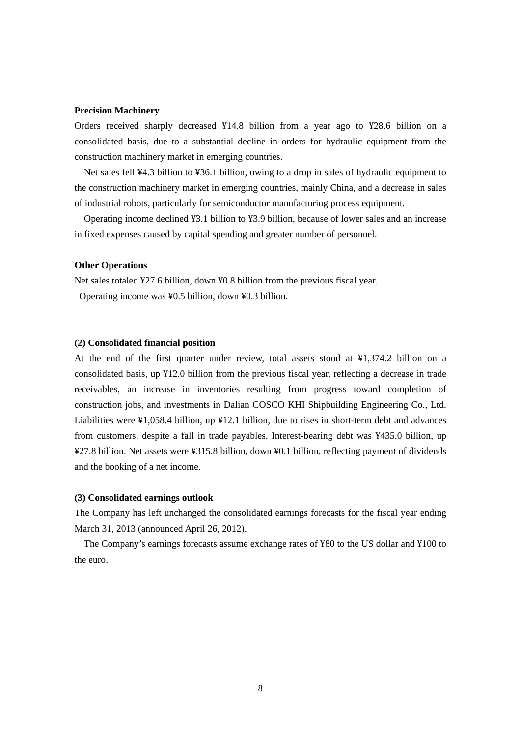#### **Precision Machinery**

Orders received sharply decreased ¥14.8 billion from a year ago to ¥28.6 billion on a consolidated basis, due to a substantial decline in orders for hydraulic equipment from the construction machinery market in emerging countries.

Net sales fell ¥4.3 billion to ¥36.1 billion, owing to a drop in sales of hydraulic equipment to the construction machinery market in emerging countries, mainly China, and a decrease in sales of industrial robots, particularly for semiconductor manufacturing process equipment.

Operating income declined ¥3.1 billion to ¥3.9 billion, because of lower sales and an increase in fixed expenses caused by capital spending and greater number of personnel.

#### **Other Operations**

Net sales totaled ¥27.6 billion, down ¥0.8 billion from the previous fiscal year. Operating income was ¥0.5 billion, down ¥0.3 billion.

#### **(2) Consolidated financial position**

At the end of the first quarter under review, total assets stood at ¥1,374.2 billion on a consolidated basis, up ¥12.0 billion from the previous fiscal year, reflecting a decrease in trade receivables, an increase in inventories resulting from progress toward completion of construction jobs, and investments in Dalian COSCO KHI Shipbuilding Engineering Co., Ltd. Liabilities were ¥1,058.4 billion, up ¥12.1 billion, due to rises in short-term debt and advances from customers, despite a fall in trade payables. Interest-bearing debt was ¥435.0 billion, up ¥27.8 billion. Net assets were ¥315.8 billion, down ¥0.1 billion, reflecting payment of dividends and the booking of a net income.

#### **(3) Consolidated earnings outlook**

The Company has left unchanged the consolidated earnings forecasts for the fiscal year ending March 31, 2013 (announced April 26, 2012).

The Company's earnings forecasts assume exchange rates of ¥80 to the US dollar and ¥100 to the euro.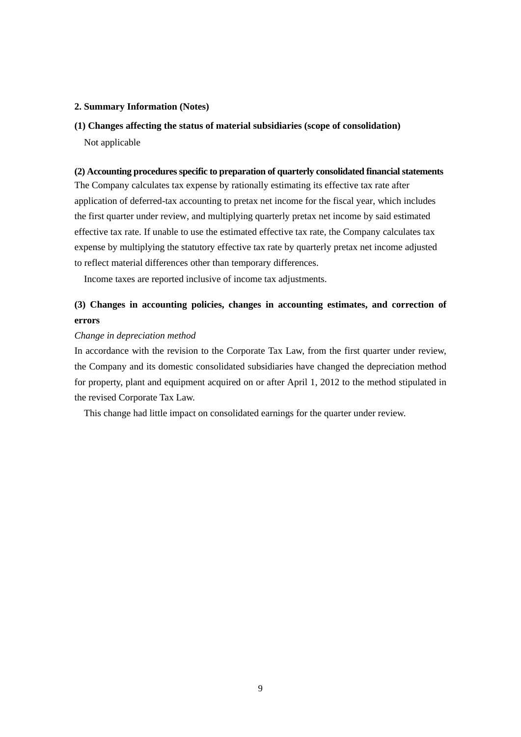#### **2. Summary Information (Notes)**

**(1) Changes affecting the status of material subsidiaries (scope of consolidation)**  Not applicable

### **(2) Accounting procedures specific to preparation of quarterly consolidated financial statements**

The Company calculates tax expense by rationally estimating its effective tax rate after application of deferred-tax accounting to pretax net income for the fiscal year, which includes the first quarter under review, and multiplying quarterly pretax net income by said estimated effective tax rate. If unable to use the estimated effective tax rate, the Company calculates tax expense by multiplying the statutory effective tax rate by quarterly pretax net income adjusted to reflect material differences other than temporary differences.

Income taxes are reported inclusive of income tax adjustments.

# **(3) Changes in accounting policies, changes in accounting estimates, and correction of errors**

#### *Change in depreciation method*

In accordance with the revision to the Corporate Tax Law, from the first quarter under review, the Company and its domestic consolidated subsidiaries have changed the depreciation method for property, plant and equipment acquired on or after April 1, 2012 to the method stipulated in the revised Corporate Tax Law.

This change had little impact on consolidated earnings for the quarter under review.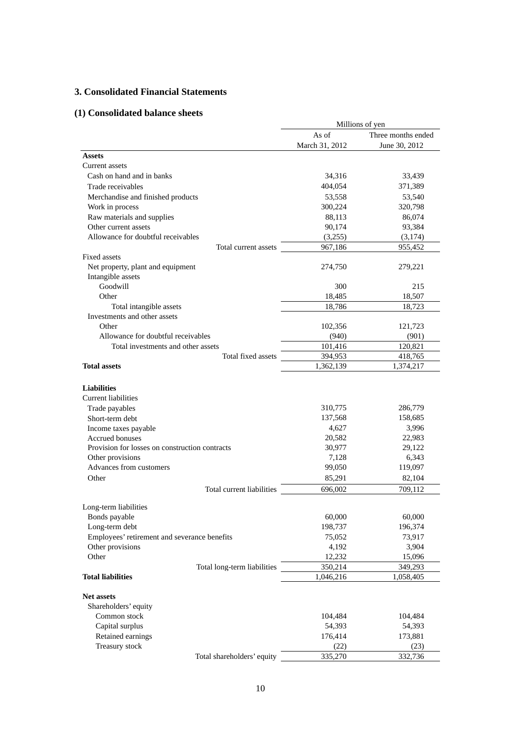# **3. Consolidated Financial Statements**

# **(1) Consolidated balance sheets**

|                                                |                 | Millions of yen    |
|------------------------------------------------|-----------------|--------------------|
|                                                | As of           | Three months ended |
|                                                | March 31, 2012  | June 30, 2012      |
| <b>Assets</b>                                  |                 |                    |
| Current assets                                 |                 |                    |
| Cash on hand and in banks                      | 34,316          | 33,439             |
| Trade receivables                              | 404,054         | 371,389            |
| Merchandise and finished products              | 53,558          | 53,540             |
| Work in process                                | 300,224         | 320,798            |
| Raw materials and supplies                     | 88,113          | 86,074             |
| Other current assets                           | 90,174          | 93,384             |
| Allowance for doubtful receivables             | (3,255)         | (3,174)            |
| Total current assets                           | 967,186         | 955,452            |
| Fixed assets                                   |                 |                    |
| Net property, plant and equipment              | 274,750         | 279,221            |
| Intangible assets                              |                 |                    |
| Goodwill                                       | 300             | 215                |
| Other                                          | 18,485          | 18,507             |
| Total intangible assets                        | 18,786          | 18,723             |
| Investments and other assets                   |                 |                    |
| Other                                          | 102,356         | 121,723            |
| Allowance for doubtful receivables             | (940)           | (901)              |
| Total investments and other assets             | 101,416         | 120,821            |
| Total fixed assets                             | 394,953         | 418,765            |
| <b>Total assets</b>                            | 1,362,139       | 1,374,217          |
|                                                |                 |                    |
| <b>Liabilities</b>                             |                 |                    |
| <b>Current liabilities</b>                     |                 |                    |
| Trade payables                                 | 310,775         | 286,779            |
| Short-term debt                                | 137,568         | 158,685            |
| Income taxes payable                           | 4,627           | 3,996              |
| <b>Accrued bonuses</b>                         | 20,582          | 22,983             |
| Provision for losses on construction contracts | 30,977          | 29,122             |
| Other provisions                               | 7,128           | 6,343              |
| Advances from customers                        | 99,050          | 119,097            |
| Other                                          | 85,291          | 82,104             |
| Total current liabilities                      | 696,002         | 709,112            |
|                                                |                 |                    |
| Long-term liabilities                          |                 |                    |
| Bonds payable                                  | 60,000          | 60,000             |
| Long-term debt                                 | 198,737         | 196,374            |
| Employees' retirement and severance benefits   | 75,052          | 73,917             |
| Other provisions                               | 4,192           | 3,904              |
| Other                                          | 12,232          | 15,096             |
| Total long-term liabilities                    | 350,214         | 349,293            |
| <b>Total liabilities</b>                       | 1,046,216       | 1,058,405          |
|                                                |                 |                    |
| <b>Net assets</b>                              |                 |                    |
| Shareholders' equity<br>Common stock           |                 |                    |
|                                                | 104,484         | 104,484            |
| Capital surplus                                | 54,393          | 54,393             |
| Retained earnings                              | 176,414         | 173,881            |
| Treasury stock                                 | (22)<br>335,270 | (23)               |
| Total shareholders' equity                     |                 | 332,736            |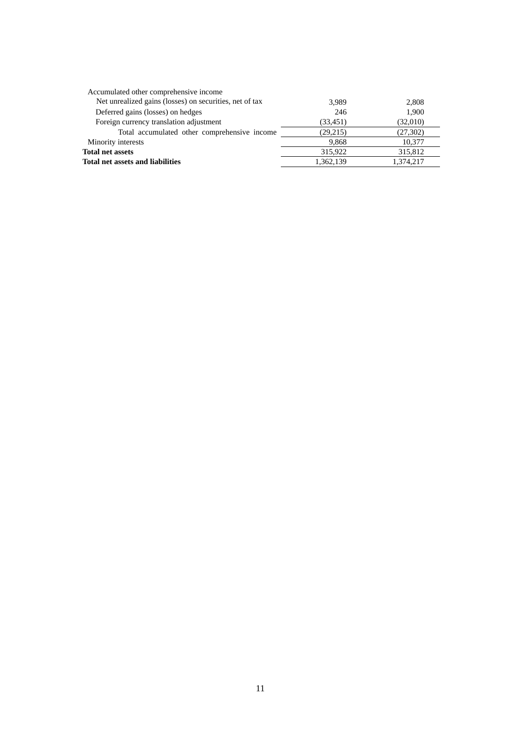| 3,989     | 2,808     |
|-----------|-----------|
| 246       | 1.900     |
| (33, 451) | (32,010)  |
| (29,215)  | (27, 302) |
| 9.868     | 10,377    |
| 315,922   | 315,812   |
| 1,362,139 | 1,374,217 |
|           |           |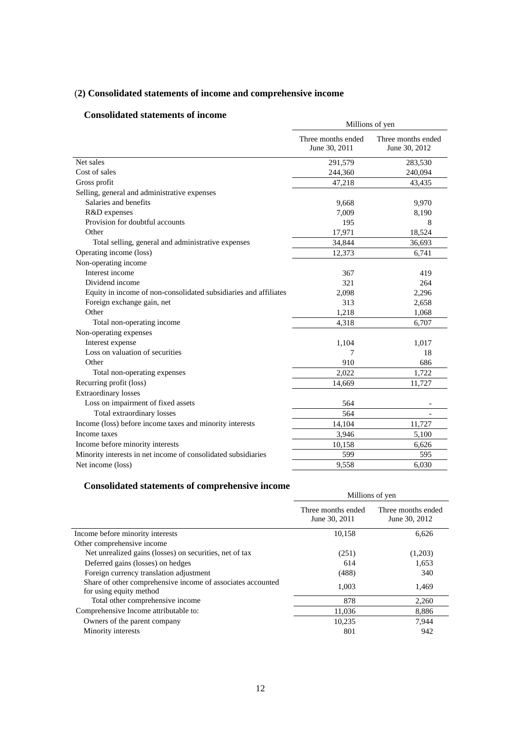# (**2) Consolidated statements of income and comprehensive income**

# **Consolidated statements of income**

| onsonuateu statements of meome                                   | Millions of yen                     |                                     |  |
|------------------------------------------------------------------|-------------------------------------|-------------------------------------|--|
|                                                                  | Three months ended<br>June 30, 2011 | Three months ended<br>June 30, 2012 |  |
| Net sales                                                        | 291,579                             | 283,530                             |  |
| Cost of sales                                                    | 244,360                             | 240,094                             |  |
| Gross profit                                                     | 47,218                              | 43,435                              |  |
| Selling, general and administrative expenses                     |                                     |                                     |  |
| Salaries and benefits                                            | 9,668                               | 9,970                               |  |
| R&D expenses                                                     | 7,009                               | 8,190                               |  |
| Provision for doubtful accounts                                  | 195                                 | 8                                   |  |
| Other                                                            | 17,971                              | 18,524                              |  |
| Total selling, general and administrative expenses               | 34,844                              | 36,693                              |  |
| Operating income (loss)                                          | 12,373                              | 6,741                               |  |
| Non-operating income                                             |                                     |                                     |  |
| Interest income                                                  | 367                                 | 419                                 |  |
| Dividend income                                                  | 321                                 | 264                                 |  |
| Equity in income of non-consolidated subsidiaries and affiliates | 2,098                               | 2,296                               |  |
| Foreign exchange gain, net                                       | 313                                 | 2,658                               |  |
| Other                                                            | 1,218                               | 1,068                               |  |
| Total non-operating income                                       | 4,318                               | 6,707                               |  |
| Non-operating expenses                                           |                                     |                                     |  |
| Interest expense                                                 | 1,104                               | 1,017                               |  |
| Loss on valuation of securities                                  | 7                                   | 18                                  |  |
| Other                                                            | 910                                 | 686                                 |  |
| Total non-operating expenses                                     | 2,022                               | 1,722                               |  |
| Recurring profit (loss)                                          | 14,669                              | 11,727                              |  |
| <b>Extraordinary losses</b>                                      |                                     |                                     |  |
| Loss on impairment of fixed assets                               | 564                                 |                                     |  |
| Total extraordinary losses                                       | 564                                 |                                     |  |
| Income (loss) before income taxes and minority interests         | 14,104                              | 11,727                              |  |
| Income taxes                                                     | 3,946                               | 5,100                               |  |
| Income before minority interests                                 | 10,158                              | 6,626                               |  |
| Minority interests in net income of consolidated subsidiaries    | 599                                 | 595                                 |  |
| Net income (loss)                                                | 9,558                               | 6,030                               |  |

# **Consolidated statements of comprehensive income**

|                                                                                        | Millions of yen                     |                                     |  |
|----------------------------------------------------------------------------------------|-------------------------------------|-------------------------------------|--|
|                                                                                        | Three months ended<br>June 30, 2011 | Three months ended<br>June 30, 2012 |  |
| Income before minority interests                                                       | 10,158                              | 6,626                               |  |
| Other comprehensive income                                                             |                                     |                                     |  |
| Net unrealized gains (losses) on securities, net of tax                                | (251)                               | (1,203)                             |  |
| Deferred gains (losses) on hedges                                                      | 614                                 | 1.653                               |  |
| Foreign currency translation adjustment                                                | (488)                               | 340                                 |  |
| Share of other comprehensive income of associates accounted<br>for using equity method | 1,003                               | 1,469                               |  |
| Total other comprehensive income                                                       | 878                                 | 2.260                               |  |
| Comprehensive Income attributable to:                                                  | 11,036                              | 8,886                               |  |
| Owners of the parent company                                                           | 10,235                              | 7,944                               |  |
| Minority interests                                                                     | 801                                 | 942                                 |  |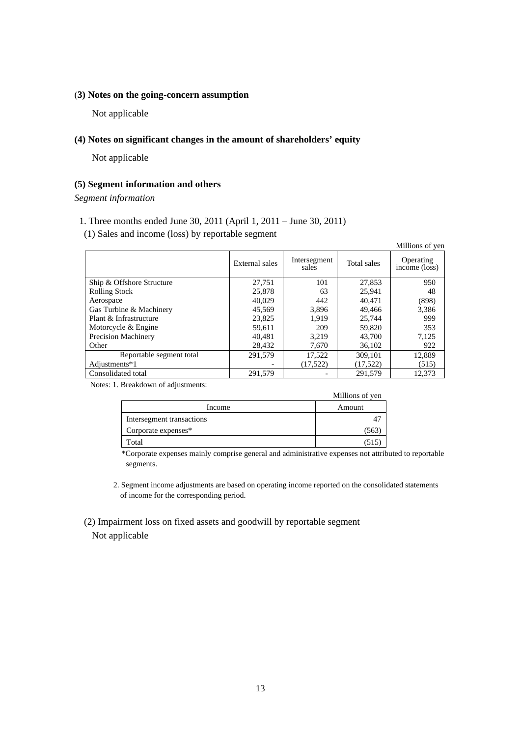### (**3) Notes on the going-concern assumption**

Not applicable

# **(4) Notes on significant changes in the amount of shareholders' equity**

Not applicable

## **(5) Segment information and others**

*Segment information* 

- 1. Three months ended June 30, 2011 (April 1, 2011 June 30, 2011)
- (1) Sales and income (loss) by reportable segment

|                            |                |                       |             | Millions of yen            |
|----------------------------|----------------|-----------------------|-------------|----------------------------|
|                            | External sales | Intersegment<br>sales | Total sales | Operating<br>income (loss) |
| Ship & Offshore Structure  | 27.751         | 101                   | 27.853      | 950                        |
| <b>Rolling Stock</b>       | 25,878         | 63                    | 25.941      | 48                         |
| Aerospace                  | 40.029         | 442                   | 40.471      | (898)                      |
| Gas Turbine & Machinery    | 45,569         | 3,896                 | 49.466      | 3,386                      |
| Plant & Infrastructure     | 23,825         | 1.919                 | 25,744      | 999                        |
| Motorcycle & Engine        | 59.611         | 209                   | 59,820      | 353                        |
| <b>Precision Machinery</b> | 40.481         | 3.219                 | 43,700      | 7,125                      |
| Other                      | 28,432         | 7,670                 | 36,102      | 922                        |
| Reportable segment total   | 291,579        | 17,522                | 309.101     | 12,889                     |
| Adjustments*1              |                | (17,522)              | (17,522)    | (515)                      |
| Consolidated total         | 291.579        |                       | 291.579     | 12.373                     |

Notes: 1. Breakdown of adjustments:

|                           | Millions of yen |
|---------------------------|-----------------|
| Income                    | Amount          |
| Intersegment transactions |                 |
| Corporate expenses*       | 563             |
| Total                     | 515             |

\*Corporate expenses mainly comprise general and administrative expenses not attributed to reportable segments.

2. Segment income adjustments are based on operating income reported on the consolidated statements of income for the corresponding period.

 (2) Impairment loss on fixed assets and goodwill by reportable segment Not applicable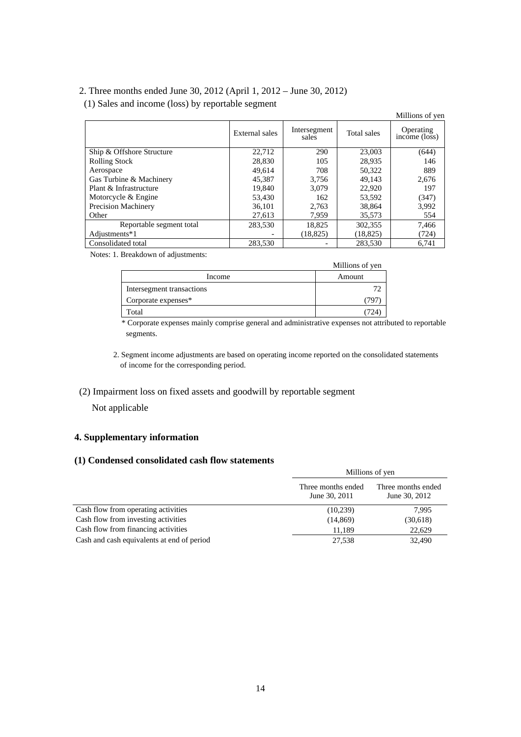# 2. Three months ended June 30, 2012 (April 1, 2012 – June 30, 2012)

(1) Sales and income (loss) by reportable segment

|                            |                |                       |             | Millions of yen            |
|----------------------------|----------------|-----------------------|-------------|----------------------------|
|                            | External sales | Intersegment<br>sales | Total sales | Operating<br>income (loss) |
| Ship & Offshore Structure  | 22,712         | 290                   | 23,003      | (644)                      |
| <b>Rolling Stock</b>       | 28,830         | 105                   | 28,935      | 146                        |
| Aerospace                  | 49,614         | 708                   | 50,322      | 889                        |
| Gas Turbine & Machinery    | 45,387         | 3.756                 | 49.143      | 2,676                      |
| Plant & Infrastructure     | 19,840         | 3.079                 | 22,920      | 197                        |
| Motorcycle & Engine        | 53.430         | 162                   | 53,592      | (347)                      |
| <b>Precision Machinery</b> | 36,101         | 2.763                 | 38,864      | 3,992                      |
| Other                      | 27,613         | 7.959                 | 35,573      | 554                        |
| Reportable segment total   | 283,530        | 18,825                | 302,355     | 7,466                      |
| Adjustments*1              |                | (18, 825)             | (18, 825)   | (724)                      |
| Consolidated total         | 283,530        |                       | 283.530     | 6.741                      |

Notes: 1. Breakdown of adjustments:

| $\cdot$                   | Millions of yen |
|---------------------------|-----------------|
| Income                    | Amount          |
| Intersegment transactions |                 |
| Corporate expenses*       |                 |
| Total                     |                 |

\* Corporate expenses mainly comprise general and administrative expenses not attributed to reportable segments.

2. Segment income adjustments are based on operating income reported on the consolidated statements of income for the corresponding period.

## (2) Impairment loss on fixed assets and goodwill by reportable segment

Not applicable

# **4. Supplementary information**

# **(1) Condensed consolidated cash flow statements**

|                                            | Millions of yen                     |                                     |  |
|--------------------------------------------|-------------------------------------|-------------------------------------|--|
|                                            | Three months ended<br>June 30, 2011 | Three months ended<br>June 30, 2012 |  |
| Cash flow from operating activities        | (10,239)                            | 7.995                               |  |
| Cash flow from investing activities        | (14, 869)                           | (30,618)                            |  |
| Cash flow from financing activities        | 11.189                              | 22.629                              |  |
| Cash and cash equivalents at end of period | 27,538                              | 32,490                              |  |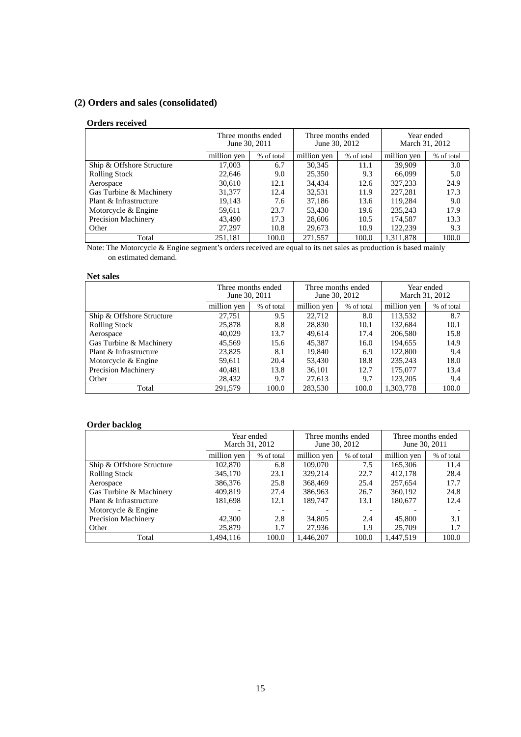# **(2) Orders and sales (consolidated)**

#### **Orders received**

|                            | Three months ended<br>June 30, 2011 |            | Three months ended<br>June 30, 2012 |            | March 31, 2012 | Year ended |
|----------------------------|-------------------------------------|------------|-------------------------------------|------------|----------------|------------|
|                            | million yen                         | % of total | million yen                         | % of total | million yen    | % of total |
| Ship & Offshore Structure  | 17,003                              | 6.7        | 30,345                              | 11.1       | 39,909         | 3.0        |
| <b>Rolling Stock</b>       | 22,646                              | 9.0        | 25,350                              | 9.3        | 66,099         | 5.0        |
| Aerospace                  | 30,610                              | 12.1       | 34,434                              | 12.6       | 327,233        | 24.9       |
| Gas Turbine & Machinery    | 31,377                              | 12.4       | 32,531                              | 11.9       | 227,281        | 17.3       |
| Plant & Infrastructure     | 19,143                              | 7.6        | 37,186                              | 13.6       | 119,284        | 9.0        |
| Motorcycle & Engine        | 59.611                              | 23.7       | 53,430                              | 19.6       | 235,243        | 17.9       |
| <b>Precision Machinery</b> | 43.490                              | 17.3       | 28,606                              | 10.5       | 174,587        | 13.3       |
| Other                      | 27.297                              | 10.8       | 29,673                              | 10.9       | 122,239        | 9.3        |
| Total                      | 251.181                             | 100.0      | 271,557                             | 100.0      | 1.311.878      | 100.0      |

Note: The Motorcycle & Engine segment's orders received are equal to its net sales as production is based mainly on estimated demand.

## **Net sales**

|                            | Three months ended<br>June 30, 2011 |            | Three months ended<br>June 30, 2012 |            | Year ended<br>March 31, 2012 |            |
|----------------------------|-------------------------------------|------------|-------------------------------------|------------|------------------------------|------------|
|                            | million yen                         | % of total | million yen                         | % of total | million ven                  | % of total |
| Ship & Offshore Structure  | 27.751                              | 9.5        | 22,712                              | 8.0        | 113,532                      | 8.7        |
| <b>Rolling Stock</b>       | 25,878                              | 8.8        | 28,830                              | 10.1       | 132.684                      | 10.1       |
| Aerospace                  | 40.029                              | 13.7       | 49,614                              | 17.4       | 206,580                      | 15.8       |
| Gas Turbine & Machinery    | 45.569                              | 15.6       | 45.387                              | 16.0       | 194.655                      | 14.9       |
| Plant & Infrastructure     | 23,825                              | 8.1        | 19,840                              | 6.9        | 122,800                      | 9.4        |
| Motorcycle & Engine        | 59,611                              | 20.4       | 53,430                              | 18.8       | 235,243                      | 18.0       |
| <b>Precision Machinery</b> | 40.481                              | 13.8       | 36,101                              | 12.7       | 175,077                      | 13.4       |
| Other                      | 28.432                              | 9.7        | 27,613                              | 9.7        | 123,205                      | 9.4        |
| Total                      | 291.579                             | 100.0      | 283,530                             | 100.0      | 1.303.778                    | 100.0      |

## **Order backlog**

|                            | Year ended<br>March 31, 2012 |                          | Three months ended<br>June 30, 2012 |            | Three months ended<br>June 30, 2011 |            |
|----------------------------|------------------------------|--------------------------|-------------------------------------|------------|-------------------------------------|------------|
|                            | million yen                  | % of total               | million yen                         | % of total | million yen                         | % of total |
| Ship & Offshore Structure  | 102,870                      | 6.8                      | 109,070                             | 7.5        | 165,306                             | 11.4       |
| <b>Rolling Stock</b>       | 345,170                      | 23.1                     | 329,214                             | 22.7       | 412,178                             | 28.4       |
| Aerospace                  | 386,376                      | 25.8                     | 368,469                             | 25.4       | 257,654                             | 17.7       |
| Gas Turbine & Machinery    | 409.819                      | 27.4                     | 386,963                             | 26.7       | 360,192                             | 24.8       |
| Plant & Infrastructure     | 181,698                      | 12.1                     | 189.747                             | 13.1       | 180,677                             | 12.4       |
| Motorcycle & Engine        |                              | $\overline{\phantom{a}}$ |                                     |            |                                     |            |
| <b>Precision Machinery</b> | 42,300                       | 2.8                      | 34,805                              | 2.4        | 45,800                              | 3.1        |
| Other                      | 25,879                       | 1.7                      | 27.936                              | 1.9        | 25,709                              | 1.7        |
| Total                      | 1.494.116                    | 100.0                    | 1.446.207                           | 100.0      | 1.447.519                           | 100.0      |